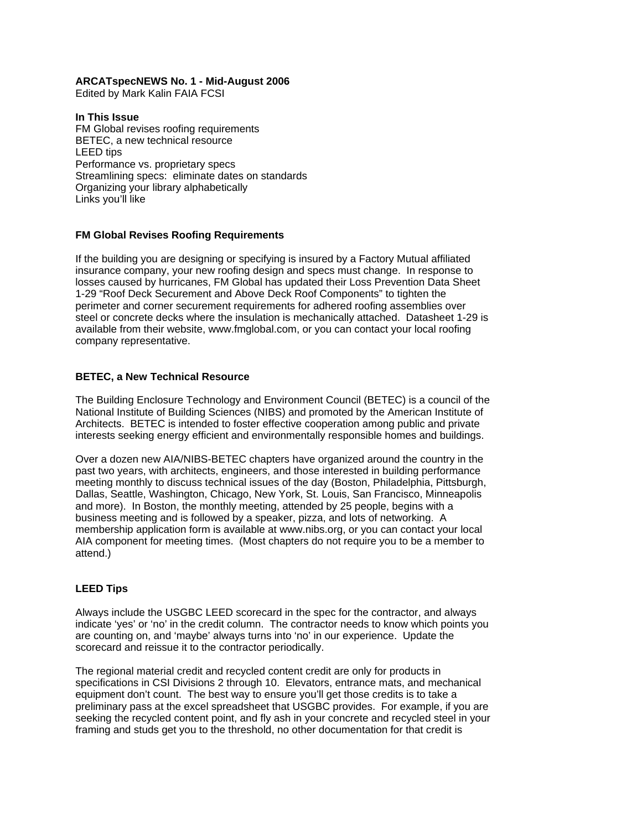### **ARCATspecNEWS No. 1 - Mid-August 2006**

Edited by Mark Kalin FAIA FCSI

### **In This Issue**

FM Global revises roofing requirements BETEC, a new technical resource LEED tips Performance vs. proprietary specs Streamlining specs: eliminate dates on standards Organizing your library alphabetically Links you'll like

## **FM Global Revises Roofing Requirements**

If the building you are designing or specifying is insured by a Factory Mutual affiliated insurance company, your new roofing design and specs must change. In response to losses caused by hurricanes, FM Global has updated their Loss Prevention Data Sheet 1-29 "Roof Deck Securement and Above Deck Roof Components" to tighten the perimeter and corner securement requirements for adhered roofing assemblies over steel or concrete decks where the insulation is mechanically attached. Datasheet 1-29 is available from their website, www.fmglobal.com, or you can contact your local roofing company representative.

## **BETEC, a New Technical Resource**

The Building Enclosure Technology and Environment Council (BETEC) is a council of the National Institute of Building Sciences (NIBS) and promoted by the American Institute of Architects. BETEC is intended to foster effective cooperation among public and private interests seeking energy efficient and environmentally responsible homes and buildings.

Over a dozen new AIA/NIBS-BETEC chapters have organized around the country in the past two years, with architects, engineers, and those interested in building performance meeting monthly to discuss technical issues of the day (Boston, Philadelphia, Pittsburgh, Dallas, Seattle, Washington, Chicago, New York, St. Louis, San Francisco, Minneapolis and more). In Boston, the monthly meeting, attended by 25 people, begins with a business meeting and is followed by a speaker, pizza, and lots of networking. A membership application form is available at www.nibs.org, or you can contact your local AIA component for meeting times. (Most chapters do not require you to be a member to attend.)

# **LEED Tips**

Always include the USGBC LEED scorecard in the spec for the contractor, and always indicate 'yes' or 'no' in the credit column. The contractor needs to know which points you are counting on, and 'maybe' always turns into 'no' in our experience. Update the scorecard and reissue it to the contractor periodically.

The regional material credit and recycled content credit are only for products in specifications in CSI Divisions 2 through 10. Elevators, entrance mats, and mechanical equipment don't count. The best way to ensure you'll get those credits is to take a preliminary pass at the excel spreadsheet that USGBC provides. For example, if you are seeking the recycled content point, and fly ash in your concrete and recycled steel in your framing and studs get you to the threshold, no other documentation for that credit is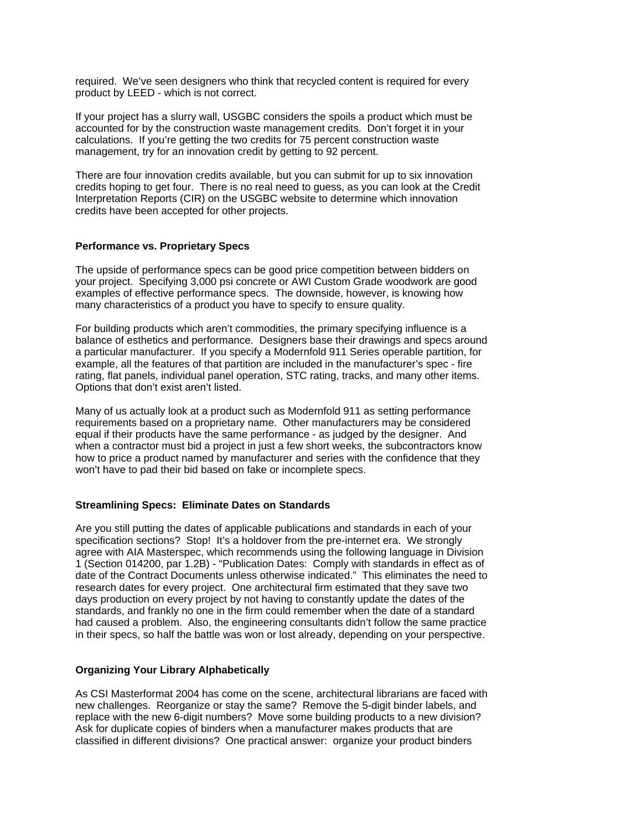required. We've seen designers who think that recycled content is required for every product by LEED - which is not correct.

If your project has a slurry wall, USGBC considers the spoils a product which must be accounted for by the construction waste management credits. Don't forget it in your calculations. If you're getting the two credits for 75 percent construction waste management, try for an innovation credit by getting to 92 percent.

There are four innovation credits available, but you can submit for up to six innovation credits hoping to get four. There is no real need to guess, as you can look at the Credit Interpretation Reports (CIR) on the USGBC website to determine which innovation credits have been accepted for other projects.

#### **Performance vs. Proprietary Specs**

The upside of performance specs can be good price competition between bidders on your project. Specifying 3,000 psi concrete or AWI Custom Grade woodwork are good examples of effective performance specs. The downside, however, is knowing how many characteristics of a product you have to specify to ensure quality.

For building products which aren't commodities, the primary specifying influence is a balance of esthetics and performance. Designers base their drawings and specs around a particular manufacturer. If you specify a Modernfold 911 Series operable partition, for example, all the features of that partition are included in the manufacturer's spec - fire rating, flat panels, individual panel operation, STC rating, tracks, and many other items. Options that don't exist aren't listed.

Many of us actually look at a product such as Modernfold 911 as setting performance requirements based on a proprietary name. Other manufacturers may be considered equal if their products have the same performance - as judged by the designer. And when a contractor must bid a project in just a few short weeks, the subcontractors know how to price a product named by manufacturer and series with the confidence that they won't have to pad their bid based on fake or incomplete specs.

### **Streamlining Specs: Eliminate Dates on Standards**

Are you still putting the dates of applicable publications and standards in each of your specification sections? Stop! It's a holdover from the pre-internet era. We strongly agree with AIA Masterspec, which recommends using the following language in Division 1 (Section 014200, par 1.2B) - "Publication Dates: Comply with standards in effect as of date of the Contract Documents unless otherwise indicated." This eliminates the need to research dates for every project. One architectural firm estimated that they save two days production on every project by not having to constantly update the dates of the standards, and frankly no one in the firm could remember when the date of a standard had caused a problem. Also, the engineering consultants didn't follow the same practice in their specs, so half the battle was won or lost already, depending on your perspective.

### **Organizing Your Library Alphabetically**

As CSI Masterformat 2004 has come on the scene, architectural librarians are faced with new challenges. Reorganize or stay the same? Remove the 5-digit binder labels, and replace with the new 6-digit numbers? Move some building products to a new division? Ask for duplicate copies of binders when a manufacturer makes products that are classified in different divisions? One practical answer: organize your product binders